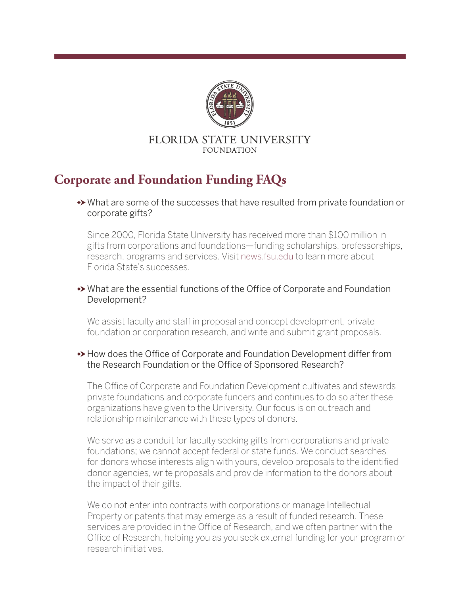

FLORIDA STATE UNIVERSITY **FOUNDATION** 

# **Corporate and Foundation Funding FAQs**

## What are some of the successes that have resulted from private foundation or corporate gifts?

Since 2000, Florida State University has received more than \$100 million in gifts from corporations and foundations—funding scholarships, professorships, research, programs and services. Visit news.fsu.edu to learn more about Florida State's successes.

## What are the essential functions of the Office of Corporate and Foundation Development?

We assist faculty and staff in proposal and concept development, private foundation or corporation research, and write and submit grant proposals.

# How does the Office of Corporate and Foundation Development differ from the Research Foundation or the Office of Sponsored Research?

The Office of Corporate and Foundation Development cultivates and stewards private foundations and corporate funders and continues to do so after these organizations have given to the University. Our focus is on outreach and relationship maintenance with these types of donors.

We serve as a conduit for faculty seeking gifts from corporations and private foundations; we cannot accept federal or state funds. We conduct searches for donors whose interests align with yours, develop proposals to the identified donor agencies, write proposals and provide information to the donors about the impact of their gifts.

We do not enter into contracts with corporations or manage Intellectual Property or patents that may emerge as a result of funded research. These services are provided in the Office of Research, and we often partner with the Office of Research, helping you as you seek external funding for your program or research initiatives.